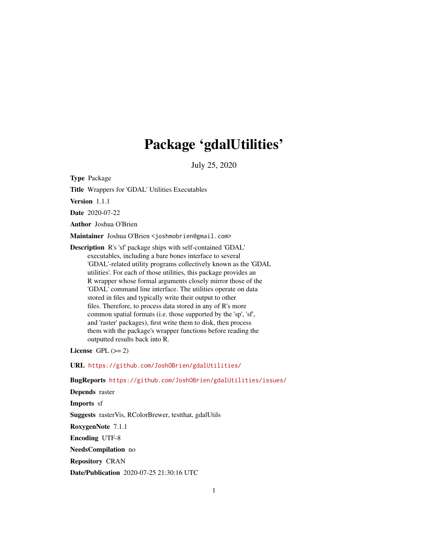# Package 'gdalUtilities'

July 25, 2020

<span id="page-0-0"></span>Type Package

Title Wrappers for 'GDAL' Utilities Executables

Version 1.1.1

Date 2020-07-22

Author Joshua O'Brien

Maintainer Joshua O'Brien <joshmobrien@gmail.com>

Description R's 'sf' package ships with self-contained 'GDAL' executables, including a bare bones interface to several 'GDAL'-related utility programs collectively known as the 'GDAL utilities'. For each of those utilities, this package provides an R wrapper whose formal arguments closely mirror those of the 'GDAL' command line interface. The utilities operate on data stored in files and typically write their output to other files. Therefore, to process data stored in any of R's more common spatial formats (i.e. those supported by the 'sp', 'sf', and 'raster' packages), first write them to disk, then process them with the package's wrapper functions before reading the outputted results back into R.

License GPL  $(>= 2)$ 

URL <https://github.com/JoshOBrien/gdalUtilities/>

BugReports <https://github.com/JoshOBrien/gdalUtilities/issues/>

Depends raster Imports sf Suggests rasterVis, RColorBrewer, testthat, gdalUtils RoxygenNote 7.1.1 Encoding UTF-8 NeedsCompilation no Repository CRAN Date/Publication 2020-07-25 21:30:16 UTC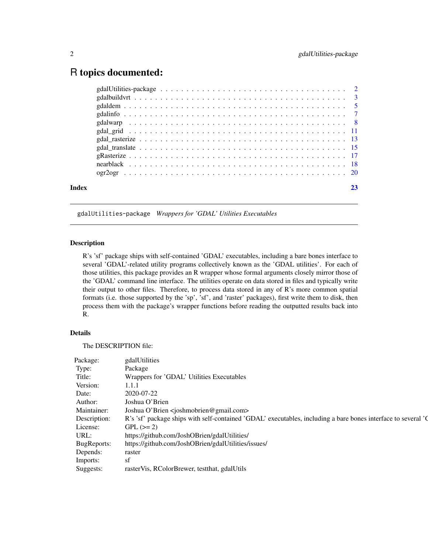# <span id="page-1-0"></span>R topics documented:

| Index |  |
|-------|--|
|       |  |
|       |  |
|       |  |
|       |  |
|       |  |
|       |  |
|       |  |
|       |  |
|       |  |
|       |  |
|       |  |

gdalUtilities-package *Wrappers for 'GDAL' Utilities Executables*

# Description

R's 'sf' package ships with self-contained 'GDAL' executables, including a bare bones interface to several 'GDAL'-related utility programs collectively known as the 'GDAL utilities'. For each of those utilities, this package provides an R wrapper whose formal arguments closely mirror those of the 'GDAL' command line interface. The utilities operate on data stored in files and typically write their output to other files. Therefore, to process data stored in any of R's more common spatial formats (i.e. those supported by the 'sp', 'sf', and 'raster' packages), first write them to disk, then process them with the package's wrapper functions before reading the outputted results back into R.

## Details

The DESCRIPTION file:

| Package:              |                                                                                                                            |
|-----------------------|----------------------------------------------------------------------------------------------------------------------------|
|                       | gdalUtilities                                                                                                              |
| Type:                 | Package                                                                                                                    |
| Title:                | Wrappers for 'GDAL' Utilities Executables                                                                                  |
| Version:              | 1.1.1                                                                                                                      |
| Date:                 | 2020-07-2                                                                                                                  |
| Author:               | Joshua O'Brien                                                                                                             |
|                       | Maintainer: Joshua O'Brien <joshmobrien@gmail.com></joshmobrien@gmail.com>                                                 |
|                       | Description: R's 'sf' package ships with self-contained 'GDAL' executables, including a bare bones interface to several 'C |
| License: GPL $(>= 2)$ |                                                                                                                            |
| URL:                  | https://github.com/JoshOBrien/gdalUtilities/                                                                               |
|                       | BugReports: https://github.com/JoshOBrien/gdalUtilities/issues/                                                            |
| Depends: raster       |                                                                                                                            |
| Imports:              |                                                                                                                            |
|                       | Suggests: rasterVis, RColorBrewer, testthat, gdalUtils                                                                     |
|                       |                                                                                                                            |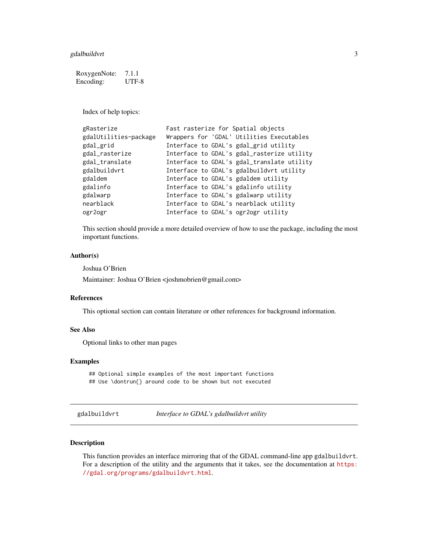<span id="page-2-0"></span>gdalbuildvrt 3

RoxygenNote: 7.1.1 Encoding: UTF-8

Index of help topics:

| gRasterize            | Fast rasterize for Spatial objects         |
|-----------------------|--------------------------------------------|
| gdalUtilities-package | Wrappers for 'GDAL' Utilities Executables  |
| gdal_grid             | Interface to GDAL's gdal_grid utility      |
| gdal_rasterize        | Interface to GDAL's gdal_rasterize utility |
| gdal_translate        | Interface to GDAL's gdal_translate utility |
| gdalbuildvrt          | Interface to GDAL's gdalbuildvrt utility   |
| gdaldem               | Interface to GDAL's gdaldem utility        |
| gdalinfo              | Interface to GDAL's gdalinfo utility       |
| gdalwarp              | Interface to GDAL's gdalwarp utility       |
| nearblack             | Interface to GDAL's nearblack utility      |
| ogr2ogr               | Interface to GDAL's ogr2ogr utility        |

This section should provide a more detailed overview of how to use the package, including the most important functions.

#### Author(s)

Joshua O'Brien

Maintainer: Joshua O'Brien <joshmobrien@gmail.com>

#### References

This optional section can contain literature or other references for background information.

# See Also

Optional links to other man pages

# Examples

## Optional simple examples of the most important functions ## Use \dontrun{} around code to be shown but not executed

gdalbuildvrt *Interface to GDAL's gdalbuildvrt utility*

### Description

This function provides an interface mirroring that of the GDAL command-line app gdalbuildvrt. For a description of the utility and the arguments that it takes, see the documentation at [https:](https://gdal.org/programs/gdalbuildvrt.html) [//gdal.org/programs/gdalbuildvrt.html](https://gdal.org/programs/gdalbuildvrt.html).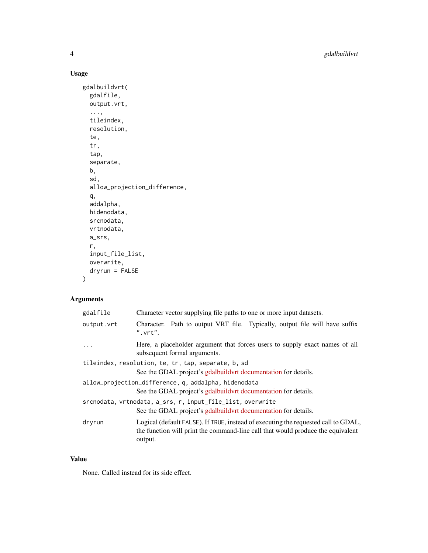4 gdalbuildvrt

# Usage

```
gdalbuildvrt(
  gdalfile,
  output.vrt,
  ...,
  tileindex,
  resolution,
  te,
  tr,
  tap,
  separate,
  b,
  sd,
  allow_projection_difference,
  q,
  addalpha,
  hidenodata,
  srcnodata,
  vrtnodata,
  a_srs,
  r,
  input_file_list,
  overwrite,
  dryrun = FALSE
\mathcal{L}
```
# Arguments

| gdalfile   | Character vector supplying file paths to one or more input datasets.                                                                                                             |
|------------|----------------------------------------------------------------------------------------------------------------------------------------------------------------------------------|
| output.vrt | Character. Path to output VRT file. Typically, output file will have suffix<br>$"$ . $vrt"$ .                                                                                    |
|            | Here, a placeholder argument that forces users to supply exact names of all<br>subsequent formal arguments.                                                                      |
|            | tileindex, resolution, te, tr, tap, separate, b, sd<br>See the GDAL project's gdalbuild vert documentation for details.                                                          |
|            | allow_projection_difference, q, addalpha, hidenodata<br>See the GDAL project's gdalbuildvrt documentation for details.                                                           |
|            | srcnodata, vrtnodata, a_srs, r, input_file_list, overwrite<br>See the GDAL project's gdalbuild vert documentation for details.                                                   |
| dryrun     | Logical (default FALSE). If TRUE, instead of executing the requested call to GDAL,<br>the function will print the command-line call that would produce the equivalent<br>output. |

#### Value

None. Called instead for its side effect.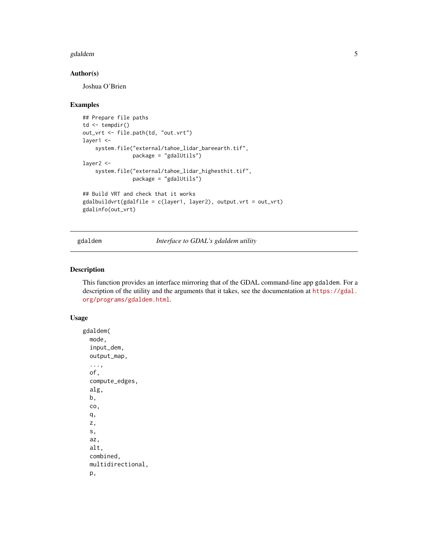#### <span id="page-4-0"></span>gdaldem 5

# Author(s)

Joshua O'Brien

#### Examples

```
## Prepare file paths
td \leftarrow tempdir()out_vrt <- file.path(td, "out.vrt")
layer1 <-
    system.file("external/tahoe_lidar_bareearth.tif",
                package = "gdalUtils")
layer2 <-
    system.file("external/tahoe_lidar_highesthit.tif",
                package = "gdalUtils")
## Build VRT and check that it works
gdalbuildvrt(gdalfile = c(layer1, layer2), output.vrt = out_vrt)
gdalinfo(out_vrt)
```
gdaldem *Interface to GDAL's gdaldem utility*

# Description

This function provides an interface mirroring that of the GDAL command-line app gdaldem. For a description of the utility and the arguments that it takes, see the documentation at [https://gdal.](https://gdal.org/programs/gdaldem.html) [org/programs/gdaldem.html](https://gdal.org/programs/gdaldem.html).

```
gdaldem(
  mode,
  input_dem,
  output_map,
  ...,
  of,
  compute_edges,
  alg,
  b,
  co,
  q,
  z,
  s,
  az,
  alt,
  combined,
  multidirectional,
  p,
```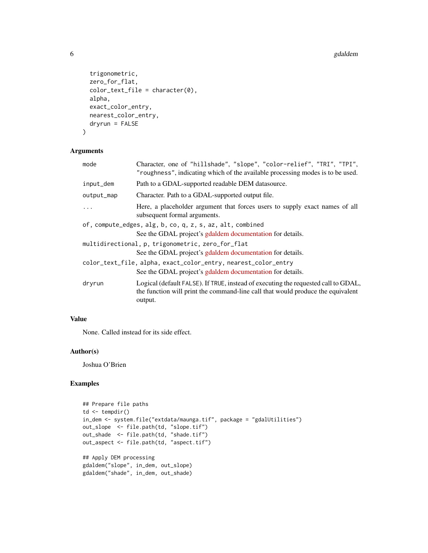```
trigonometric,
 zero_for_flat,
 color(e0),alpha,
 exact_color_entry,
 nearest_color_entry,
 dryrun = FALSE
\mathcal{L}
```
# Arguments

| mode       | Character, one of "hillshade", "slope", "color-relief", "TRI", "TPI",<br>"roughness", indicating which of the available processing modes is to be used.                          |
|------------|----------------------------------------------------------------------------------------------------------------------------------------------------------------------------------|
| input_dem  | Path to a GDAL-supported readable DEM datasource.                                                                                                                                |
| output_map | Character. Path to a GDAL-supported output file.                                                                                                                                 |
| $\ddotsc$  | Here, a placeholder argument that forces users to supply exact names of all<br>subsequent formal arguments.                                                                      |
|            | of, compute_edges, alg, b, co, q, z, s, az, alt, combined                                                                                                                        |
|            | See the GDAL project's gdaldem documentation for details.                                                                                                                        |
|            | multidirectional, p, trigonometric, zero_for_flat                                                                                                                                |
|            | See the GDAL project's gdaldem documentation for details.                                                                                                                        |
|            | color_text_file, alpha, exact_color_entry, nearest_color_entry                                                                                                                   |
|            | See the GDAL project's gdaldem documentation for details.                                                                                                                        |
| dryrun     | Logical (default FALSE). If TRUE, instead of executing the requested call to GDAL,<br>the function will print the command-line call that would produce the equivalent<br>output. |
|            |                                                                                                                                                                                  |

# Value

None. Called instead for its side effect.

#### Author(s)

Joshua O'Brien

```
## Prepare file paths
td \leftarrow tempdir()in_dem <- system.file("extdata/maunga.tif", package = "gdalUtilities")
out_slope <- file.path(td, "slope.tif")
out_shade <- file.path(td, "shade.tif")
out_aspect <- file.path(td, "aspect.tif")
## Apply DEM processing
gdaldem("slope", in_dem, out_slope)
gdaldem("shade", in_dem, out_shade)
```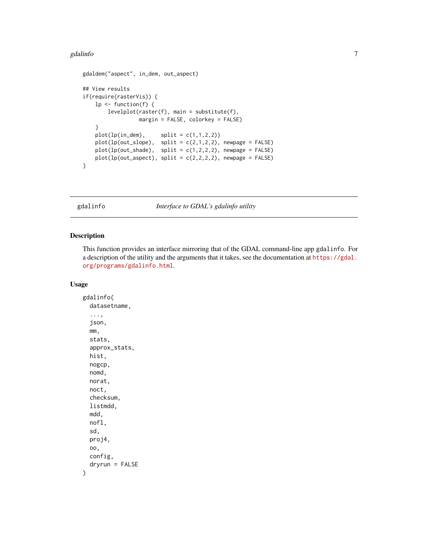#### <span id="page-6-0"></span>gdalinfo **7**

```
gdaldem("aspect", in_dem, out_aspect)
## View results
if(require(rasterVis)) {
   lp <- function(f) {
       levelplot(raster(f), main = substitute(f),
                 margin = FALSE, colorkey = FALSE)
   }
   plot(ln(dem), split = c(1,1,2,2))plot(lp(out_slope), split = c(2,1,2,2), newpage = FALSE)plot(lp(out\_shade), split = c(1,2,2,2), newpage = FALSE)plot(lp(out_aspect), split = c(2,2,2,2), newpage = FALSE)}
```
gdalinfo *Interface to GDAL's gdalinfo utility*

#### Description

This function provides an interface mirroring that of the GDAL command-line app gdalinfo. For a description of the utility and the arguments that it takes, see the documentation at [https://gdal.](https://gdal.org/programs/gdalinfo.html) [org/programs/gdalinfo.html](https://gdal.org/programs/gdalinfo.html).

#### Usage

gdalinfo( datasetname, ..., json, mm, stats, approx\_stats, hist, nogcp, nomd, norat, noct, checksum, listmdd, mdd, nofl, sd, proj4, oo, config, dryrun = FALSE )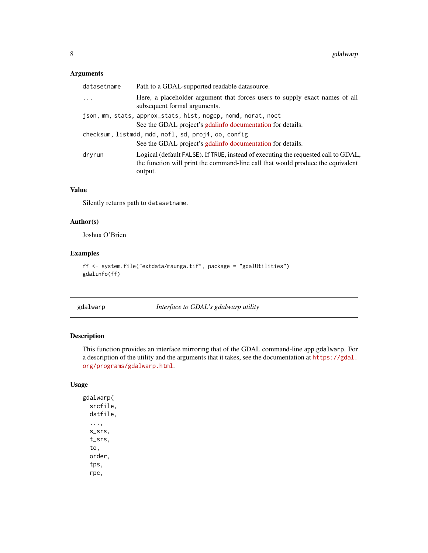# <span id="page-7-0"></span>Arguments

| datasetname | Path to a GDAL-supported readable datasource.                                                                                                                                    |
|-------------|----------------------------------------------------------------------------------------------------------------------------------------------------------------------------------|
| $\cdots$    | Here, a placeholder argument that forces users to supply exact names of all<br>subsequent formal arguments.                                                                      |
|             | json, mm, stats, approx_stats, hist, nogcp, nomd, norat, noct<br>See the GDAL project's gdalinfo documentation for details.                                                      |
|             | checksum, listmdd, mdd, nofl, sd, proj4, oo, config<br>See the GDAL project's gdalinfo documentation for details.                                                                |
| dryrun      | Logical (default FALSE). If TRUE, instead of executing the requested call to GDAL,<br>the function will print the command-line call that would produce the equivalent<br>output. |

## Value

Silently returns path to datasetname.

# Author(s)

Joshua O'Brien

# Examples

```
ff <- system.file("extdata/maunga.tif", package = "gdalUtilities")
gdalinfo(ff)
```
gdalwarp *Interface to GDAL's gdalwarp utility*

# Description

This function provides an interface mirroring that of the GDAL command-line app gdalwarp. For a description of the utility and the arguments that it takes, see the documentation at [https://gdal.](https://gdal.org/programs/gdalwarp.html) [org/programs/gdalwarp.html](https://gdal.org/programs/gdalwarp.html).

# Usage

gdalwarp( srcfile, dstfile, ..., s\_srs, t\_srs, to, order, tps, rpc,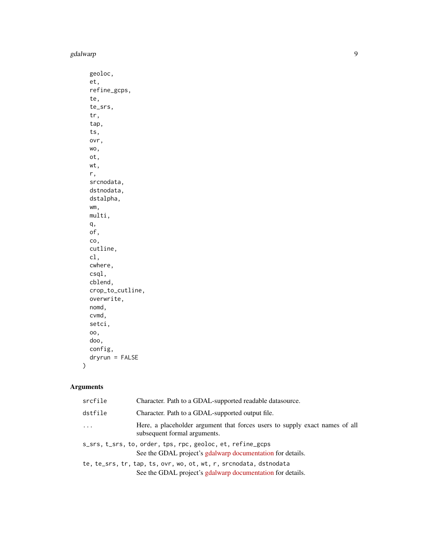geoloc, et, refine\_gcps, te, te\_srs, tr, tap, ts, ovr, wo, ot, wt, r, srcnodata, dstnodata, dstalpha, wm, multi, q, of, co, cutline, cl, cwhere, csql, cblend, crop\_to\_cutline, overwrite, nomd, cvmd, setci, oo, doo, config, dryrun = FALSE

# Arguments

 $\mathcal{L}$ 

| srcfile  | Character. Path to a GDAL-supported readable datasource.                                                                        |
|----------|---------------------------------------------------------------------------------------------------------------------------------|
| dstfile  | Character. Path to a GDAL-supported output file.                                                                                |
| $\cdots$ | Here, a placeholder argument that forces users to supply exact names of all<br>subsequent formal arguments.                     |
|          | s_srs, t_srs, to, order, tps, rpc, geoloc, et, refine_gcps<br>See the GDAL project's gdalwarp documentation for details.        |
|          | te, te_srs, tr, tap, ts, ovr, wo, ot, wt, r, srcnodata, dstnodata<br>See the GDAL project's gdalwarp documentation for details. |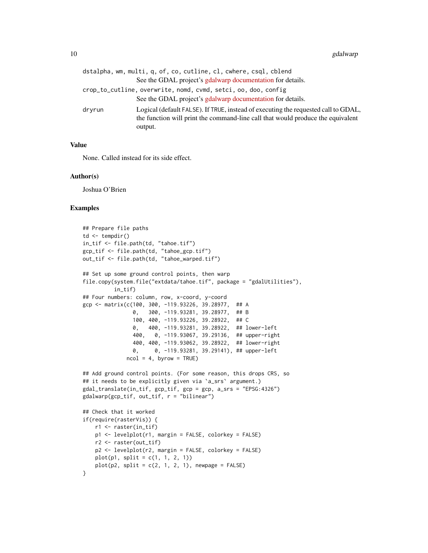|        | dstalpha, wm, multi, q, of, co, cutline, cl, cwhere, csql, cblend                                                                                                                |
|--------|----------------------------------------------------------------------------------------------------------------------------------------------------------------------------------|
|        | See the GDAL project's gdalwarp documentation for details.                                                                                                                       |
|        | crop_to_cutline, overwrite, nomd, cvmd, setci, oo, doo, config                                                                                                                   |
|        | See the GDAL project's gdalwarp documentation for details.                                                                                                                       |
| dryrun | Logical (default FALSE). If TRUE, instead of executing the requested call to GDAL,<br>the function will print the command-line call that would produce the equivalent<br>output. |

#### Value

None. Called instead for its side effect.

#### Author(s)

Joshua O'Brien

```
## Prepare file paths
td \leftarrow tempdir()in_tif <- file.path(td, "tahoe.tif")
gcp_tif <- file.path(td, "tahoe_gcp.tif")
out_tif <- file.path(td, "tahoe_warped.tif")
## Set up some ground control points, then warp
file.copy(system.file("extdata/tahoe.tif", package = "gdalUtilities"),
          in_tif)
## Four numbers: column, row, x-coord, y-coord
gcp <- matrix(c(100, 300, -119.93226, 39.28977, ## A
                0, 300, -119.93281, 39.28977, ## B
                100, 400, -119.93226, 39.28922, ## C
                0, 400, -119.93281, 39.28922, ## lower-left
                400, 0, -119.93067, 39.29136, ## upper-right
                400, 400, -119.93062, 39.28922, ## lower-right
                0, 0, -119.93281, 39.29141), ## upper-left
             ncol = 4, byrow = TRUE)
## Add ground control points. (For some reason, this drops CRS, so
## it needs to be explicitly given via `a_srs` argument.)
gdal_translate(in_tif, gcp_tif, gcp = gcp, a_srs = "EPSG:4326")
gdalwarp(gcp_tif, out_tif, r = "bilinear")
## Check that it worked
if(require(rasterVis)) {
   r1 <- raster(in_tif)
    p1 <- levelplot(r1, margin = FALSE, colorkey = FALSE)
   r2 <- raster(out_tif)
   p2 <- levelplot(r2, margin = FALSE, colorkey = FALSE)
   plot(p1, split = c(1, 1, 2, 1))plot(p2, split = c(2, 1, 2, 1), newpage = FALSE)}
```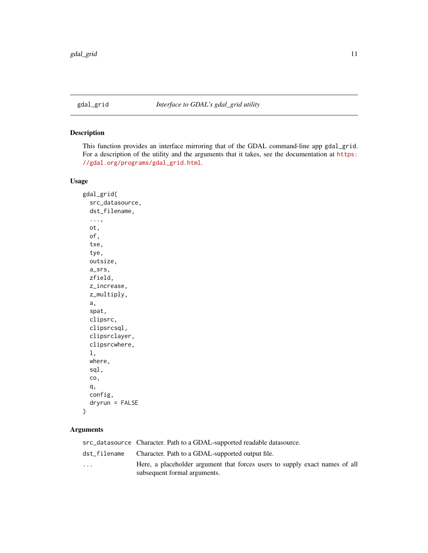<span id="page-10-0"></span>

# Description

This function provides an interface mirroring that of the GDAL command-line app gdal\_grid. For a description of the utility and the arguments that it takes, see the documentation at [https:](https://gdal.org/programs/gdal_grid.html) [//gdal.org/programs/gdal\\_grid.html](https://gdal.org/programs/gdal_grid.html).

## Usage

```
gdal_grid(
  src_datasource,
  dst_filename,
  ...,
  ot,
  of,
  txe,
  tye,
  outsize,
  a_srs,
  zfield,
  z_increase,
  z_multiply,
  a,
  spat,
  clipsrc,
  clipsrcsql,
  clipsrclayer,
  clipsrcwhere,
  l,
  where,
  sql,
  co,
  q,
  config,
  dryrun = FALSE
)
```
# Arguments

|                         | src_datasource Character. Path to a GDAL-supported readable datasource.                                     |
|-------------------------|-------------------------------------------------------------------------------------------------------------|
|                         | dst_filename Character. Path to a GDAL-supported output file.                                               |
| $\cdot$ $\cdot$ $\cdot$ | Here, a placeholder argument that forces users to supply exact names of all<br>subsequent formal arguments. |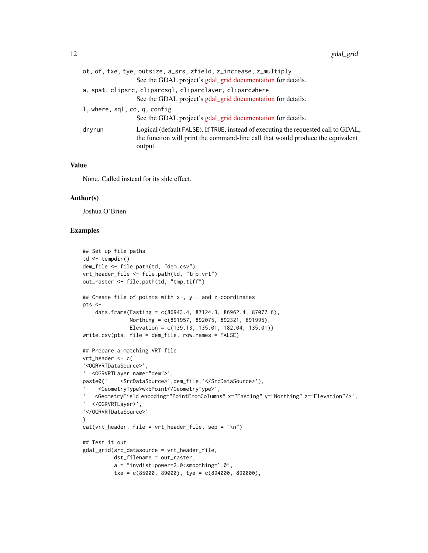| ot, of, txe, tye, outsize, a_srs, zfield, z_increase, z_multiply                                                                                                                           |
|--------------------------------------------------------------------------------------------------------------------------------------------------------------------------------------------|
| See the GDAL project's gdal_grid documentation for details.                                                                                                                                |
| a, spat, clipsrc, clipsrcsql, clipsrclayer, clipsrcwhere                                                                                                                                   |
| See the GDAL project's gdal_grid documentation for details.                                                                                                                                |
| l, where, sql, co, q, config                                                                                                                                                               |
| See the GDAL project's gdal_grid documentation for details.                                                                                                                                |
| Logical (default FALSE). If TRUE, instead of executing the requested call to GDAL,<br>dryrun<br>the function will print the command-line call that would produce the equivalent<br>output. |

# Value

None. Called instead for its side effect.

#### Author(s)

Joshua O'Brien

```
## Set up file paths
td \leftarrow tempdir()dem_file <- file.path(td, "dem.csv")
vrt_header_file <- file.path(td, "tmp.vrt")
out_raster <- file.path(td, "tmp.tiff")
## Create file of points with x-, y-, and z-coordinates
pts <-
    data.frame(Easting = c(86943.4, 87124.3, 86962.4, 87077.6),
               Northing = c(891957, 892075, 892321, 891995),
               Elevation = c(139.13, 135.01, 182.04, 135.01))
write.csv(pts, file = dem_file, row.names = FALSE)
## Prepare a matching VRT file
vrt_header <- c(
'<OGRVRTDataSource>',
' <OGRVRTLayer name="dem">',
paste0(' <SrcDataSource>',dem_file,'</SrcDataSource>'),
      <GeometryType>wkbPoint</GeometryType>',
    <GeometryField encoding="PointFromColumns" x="Easting" y="Northing" z="Elevation"/>',
' </OGRVRTLayer>',
'</OGRVRTDataSource>'
)
cat(vrt_{\text{header}}, \text{file} = vrt_{\text{header}} \text{file}, \text{sep} = \text{"\n"})## Test it out
gdal_grid(src_datasource = vrt_header_file,
          dst_filename = out_raster,
          a = "invdist:power=2.0:smoothing=1.0",txe = c(85000, 89000), tye = c(894000, 890000),
```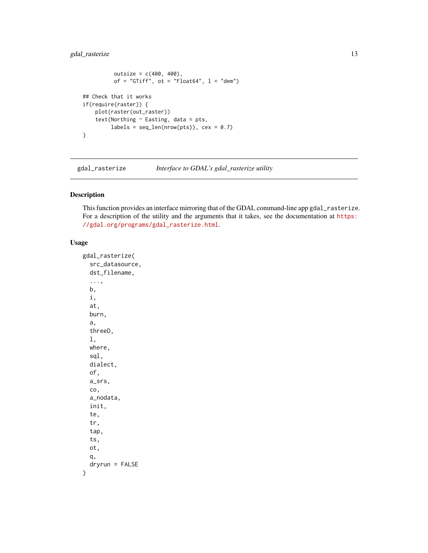# <span id="page-12-0"></span>gdal\_rasterize 13

```
outsize = c(400, 400),of = "GTiff", ot = "Float64", l = "dem")## Check that it works
if(require(raster)) {
   plot(raster(out_raster))
    text(Northing \sim Easting, data = pts,
         labels = seq_length(nrow(pts)), cex = 0.7)}
```
<span id="page-12-1"></span>gdal\_rasterize *Interface to GDAL's gdal\_rasterize utility*

# Description

This function provides an interface mirroring that of the GDAL command-line app gdal\_rasterize. For a description of the utility and the arguments that it takes, see the documentation at [https:](https://gdal.org/programs/gdal_rasterize.html) [//gdal.org/programs/gdal\\_rasterize.html](https://gdal.org/programs/gdal_rasterize.html).

```
gdal_rasterize(
  src_datasource,
  dst_filename,
  ...,
 b,
  i,
  at,
  burn,
  a,
  threeD,
  l,
  where,
  sql,
  dialect,
  of,
  a_srs,
  co,
  a_nodata,
  init,
  te,
  tr,
  tap,
  ts,
  ot,
  q,
  dryrun = FALSE
)
```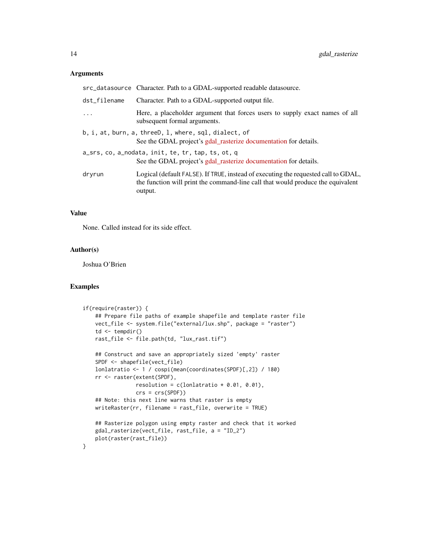#### Arguments

|              | src_datasource Character. Path to a GDAL-supported readable datasource.                                                                                                          |
|--------------|----------------------------------------------------------------------------------------------------------------------------------------------------------------------------------|
| dst_filename | Character. Path to a GDAL-supported output file.                                                                                                                                 |
| $\ddots$     | Here, a placeholder argument that forces users to supply exact names of all<br>subsequent formal arguments.                                                                      |
|              | b, i, at, burn, a, threeD, l, where, sql, dialect, of<br>See the GDAL project's gdal_rasterize documentation for details.                                                        |
|              | a_srs, co, a_nodata, init, te, tr, tap, ts, ot, q<br>See the GDAL project's gdal_rasterize documentation for details.                                                            |
| dryrun       | Logical (default FALSE). If TRUE, instead of executing the requested call to GDAL,<br>the function will print the command-line call that would produce the equivalent<br>output. |

#### Value

None. Called instead for its side effect.

# Author(s)

Joshua O'Brien

```
if(require(raster)) {
    ## Prepare file paths of example shapefile and template raster file
   vect_file <- system.file("external/lux.shp", package = "raster")
    td \leftarrow tempdir()rast_file <- file.path(td, "lux_rast.tif")
   ## Construct and save an appropriately sized 'empty' raster
   SPDF <- shapefile(vect_file)
   lonlatratio <- 1 / cospi(mean(coordinates(SPDF)[,2]) / 180)
   rr <- raster(extent(SPDF),
                 resolution = c(lonlatratio * 0.01, 0.01),
                 crs = crs(SPDF))
    ## Note: this next line warns that raster is empty
   writeRaster(rr, filename = rast_file, overwrite = TRUE)
    ## Rasterize polygon using empty raster and check that it worked
   gdal_rasterize(vect_file, rast_file, a = "ID_2")
   plot(raster(rast_file))
}
```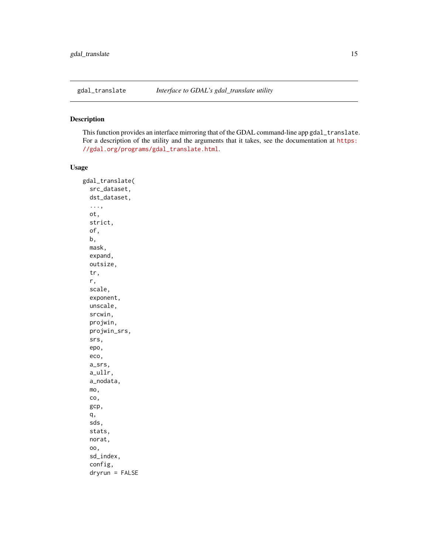<span id="page-14-0"></span>

# Description

This function provides an interface mirroring that of the GDAL command-line app gdal\_translate. For a description of the utility and the arguments that it takes, see the documentation at [https:](https://gdal.org/programs/gdal_translate.html) [//gdal.org/programs/gdal\\_translate.html](https://gdal.org/programs/gdal_translate.html).

```
gdal_translate(
  src_dataset,
  dst_dataset,
  ...,
  ot,
  strict,
  of,
  b,
 mask,
  expand,
  outsize,
  tr,
  r,
  scale,
  exponent,
  unscale,
  srcwin,
  projwin,
  projwin_srs,
  srs,
  epo,
  eco,
  a_srs,
  a_ullr,
  a_nodata,
  mo,
  co,
  gcp,
  q,
  sds,
  stats,
  norat,
  oo,
  sd_index,
  config,
  dryrun = FALSE
```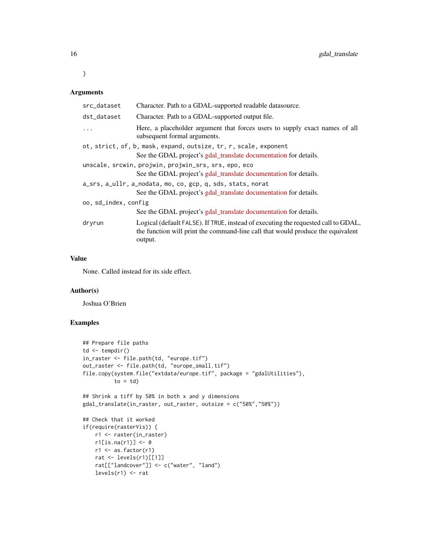# Arguments

 $\mathcal{L}$ 

| src_dataset          | Character. Path to a GDAL-supported readable datasource.                                                                                                                         |
|----------------------|----------------------------------------------------------------------------------------------------------------------------------------------------------------------------------|
| dst_dataset          | Character. Path to a GDAL-supported output file.                                                                                                                                 |
|                      | Here, a placeholder argument that forces users to supply exact names of all<br>subsequent formal arguments.                                                                      |
|                      | ot, strict, of, b, mask, expand, outsize, tr, r, scale, exponent                                                                                                                 |
|                      | See the GDAL project's gdal_translate documentation for details.                                                                                                                 |
|                      | unscale, srcwin, projwin, projwin_srs, srs, epo, eco                                                                                                                             |
|                      | See the GDAL project's gdal_translate documentation for details.                                                                                                                 |
|                      | a_srs, a_ullr, a_nodata, mo, co, gcp, q, sds, stats, norat                                                                                                                       |
|                      | See the GDAL project's gdal_translate documentation for details.                                                                                                                 |
| oo, sd_index, config |                                                                                                                                                                                  |
|                      | See the GDAL project's gdal_translate documentation for details.                                                                                                                 |
| dryrun               | Logical (default FALSE). If TRUE, instead of executing the requested call to GDAL,<br>the function will print the command-line call that would produce the equivalent<br>output. |

# Value

None. Called instead for its side effect.

# Author(s)

Joshua O'Brien

```
## Prepare file paths
td \leftarrow tempdir()in_raster <- file.path(td, "europe.tif")
out_raster <- file.path(td, "europe_small.tif")
file.copy(system.file("extdata/europe.tif", package = "gdalUtilities"),
          to = td)## Shrink a tiff by 50% in both x and y dimensions
gdal_translate(in_raster, out_raster, outsize = c("50%","50%"))
## Check that it worked
if(require(rasterVis)) {
   r1 <- raster(in_raster)
   r1[i s, na(r1)] < -0r1 \leftarrow as.factor(r1)rat <- levels(r1)[[1]]
   rat[["landcover"]] <- c("water", "land")
   levels(r1) <- rat
```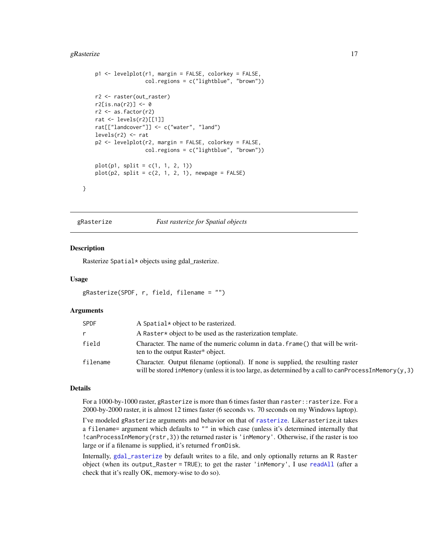#### <span id="page-16-0"></span>gRasterize  $17$

```
p1 <- levelplot(r1, margin = FALSE, colorkey = FALSE,
                col.regions = c("lightblue", "brown"))
r2 <- raster(out_raster)
r2[is.na(r2)] < -0r2 <- as.factor(r2)
rat <- levels(r2)[[1]]
rat[["landcover"]] <- c("water", "land")
levels(r2) <- rat
p2 <- levelplot(r2, margin = FALSE, colorkey = FALSE,
                col.regions = c("lightblue", "brown"))
plot(p1, split = c(1, 1, 2, 1))plot(p2, split = c(2, 1, 2, 1), newpage = FALSE)
```
gRasterize *Fast rasterize for Spatial objects*

#### Description

}

Rasterize Spatial\* objects using gdal\_rasterize.

#### Usage

```
gRasterize(SPDF, r, field, filename = "")
```
#### Arguments

| <b>SPDF</b> | A Spatial * object to be rasterized.                                                                                                                                                              |
|-------------|---------------------------------------------------------------------------------------------------------------------------------------------------------------------------------------------------|
| r           | A Raster * object to be used as the rasterization template.                                                                                                                                       |
| field       | Character. The name of the numeric column in data, frame () that will be writ-<br>ten to the output Raster* object.                                                                               |
| filename    | Character. Output filename (optional). If none is supplied, the resulting raster<br>will be stored in Memory (unless it is too large, as determined by a call to can Process In Memory $(y, 3)$ ) |

#### Details

For a 1000-by-1000 raster, gRasterize is more than 6 times faster than raster::rasterize. For a 2000-by-2000 raster, it is almost 12 times faster (6 seconds vs. 70 seconds on my Windows laptop).

I've modeled gRasterize arguments and behavior on that of [rasterize](#page-0-0). Likerasterize,it takes a filename= argument which defaults to "" in which case (unless it's determined internally that !canProcessInMemory(rstr,3)) the returned raster is 'inMemory'. Otherwise, if the raster is too large or if a filename is supplied, it's returned fromDisk.

Internally, [gdal\\_rasterize](#page-12-1) by default writes to a file, and only optionally returns an R Raster object (when its output\_Raster = TRUE); to get the raster 'inMemory', I use [readAll](#page-0-0) (after a check that it's really OK, memory-wise to do so).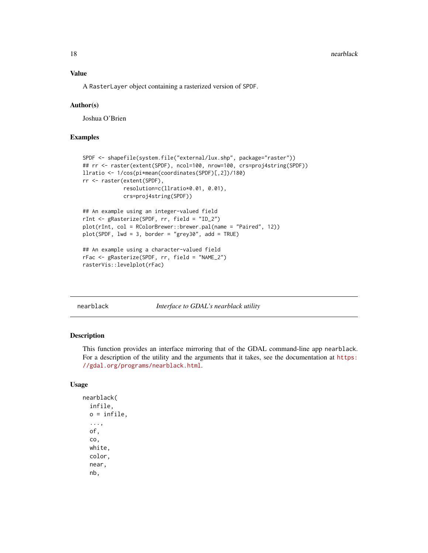#### <span id="page-17-0"></span>Value

A RasterLayer object containing a rasterized version of SPDF.

#### Author(s)

Joshua O'Brien

# Examples

```
SPDF <- shapefile(system.file("external/lux.shp", package="raster"))
## rr <- raster(extent(SPDF), ncol=100, nrow=100, crs=proj4string(SPDF))
llratio <- 1/cos(pi*mean(coordinates(SPDF)[,2])/180)
rr <- raster(extent(SPDF),
             resolution=c(llratio*0.01, 0.01),
             crs=proj4string(SPDF))
## An example using an integer-valued field
rInt <- gRasterize(SPDF, rr, field = "ID_2")
plot(rInt, col = RColorBrewer::brewer.pal(name = "Paired", 12))
plot(SPDF, lwd = 3, border = "grey30", add = TRUE)## An example using a character-valued field
rFac <- gRasterize(SPDF, rr, field = "NAME_2")
rasterVis::levelplot(rFac)
```
nearblack *Interface to GDAL's nearblack utility*

#### Description

This function provides an interface mirroring that of the GDAL command-line app nearblack. For a description of the utility and the arguments that it takes, see the documentation at [https:](https://gdal.org/programs/nearblack.html) [//gdal.org/programs/nearblack.html](https://gdal.org/programs/nearblack.html).

```
nearblack(
  infile,
  o = infile,
  ...,
  of,
  co,
  white,
  color,
  near,
  nb,
```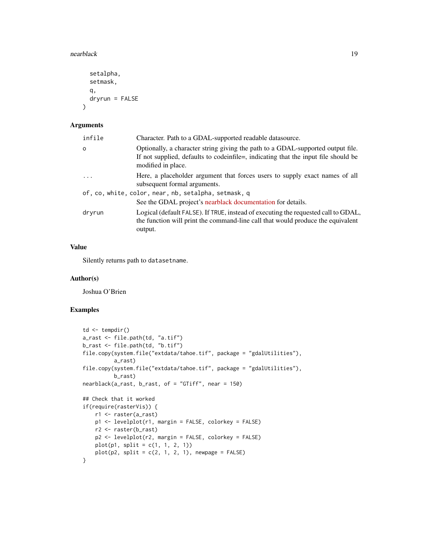#### nearblack the contract of the contract of the contract of the contract of the contract of the contract of the contract of the contract of the contract of the contract of the contract of the contract of the contract of the

```
setalpha,
  setmask,
  q,
  dryrun = FALSE
\mathcal{L}
```
#### Arguments

| infile | Character. Path to a GDAL-supported readable datasource.                                                                                                                                      |
|--------|-----------------------------------------------------------------------------------------------------------------------------------------------------------------------------------------------|
| o      | Optionally, a character string giving the path to a GDAL-supported output file.<br>If not supplied, defaults to code infile =, indicating that the input file should be<br>modified in place. |
| .      | Here, a placeholder argument that forces users to supply exact names of all<br>subsequent formal arguments.                                                                                   |
|        | of, co, white, color, near, nb, setalpha, setmask, q                                                                                                                                          |
|        | See the GDAL project's nearblack documentation for details.                                                                                                                                   |
| dryrun | Logical (default FALSE). If TRUE, instead of executing the requested call to GDAL,<br>the function will print the command-line call that would produce the equivalent<br>output.              |

# Value

Silently returns path to datasetname.

#### Author(s)

Joshua O'Brien

```
td \leftarrow tempdir()a_rast <- file.path(td, "a.tif")
b_rast <- file.path(td, "b.tif")
file.copy(system.file("extdata/tahoe.tif", package = "gdalUtilities"),
          a_rast)
file.copy(system.file("extdata/tahoe.tif", package = "gdalUtilities"),
          b_rast)
nearblack(a_rast, b_rast, of = "GTiff", near = 150)
## Check that it worked
if(require(rasterVis)) {
   r1 <- raster(a_rast)
   p1 <- levelplot(r1, margin = FALSE, colorkey = FALSE)
   r2 <- raster(b_rast)
   p2 <- levelplot(r2, margin = FALSE, colorkey = FALSE)
   plot(p1, split = c(1, 1, 2, 1))
   plot(p2, split = c(2, 1, 2, 1), newpage = FALSE)}
```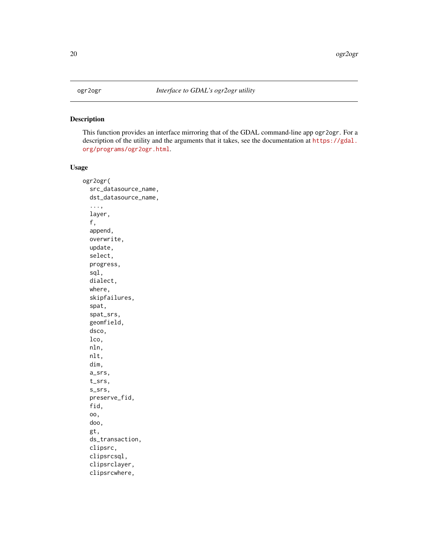## <span id="page-19-0"></span>Description

This function provides an interface mirroring that of the GDAL command-line app ogr2ogr. For a description of the utility and the arguments that it takes, see the documentation at [https://gdal.](https://gdal.org/programs/ogr2ogr.html) [org/programs/ogr2ogr.html](https://gdal.org/programs/ogr2ogr.html).

```
ogr2ogr(
  src_datasource_name,
  dst_datasource_name,
  ...,
  layer,
  f,
  append,
  overwrite,
  update,
  select,
  progress,
  sql,
  dialect,
  where,
  skipfailures,
  spat,
  spat_srs,
  geomfield,
  dsco,
  lco,
  nln,
  nlt,
  dim,
  a_srs,
  t_srs,
  s_srs,
  preserve_fid,
  fid,
  oo,
  doo,
  gt,
  ds_transaction,
  clipsrc,
  clipsrcsql,
  clipsrclayer,
  clipsrcwhere,
```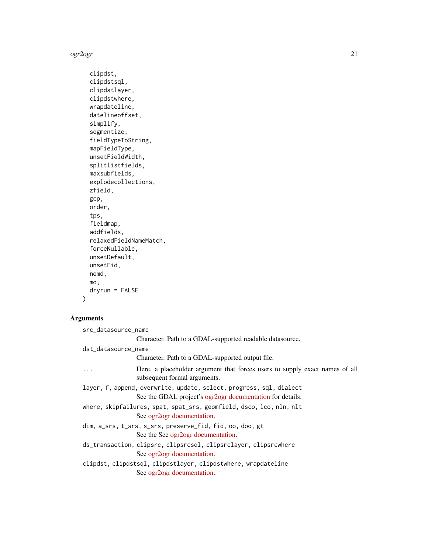ogr2ogr 21

```
clipdst,
clipdstsql,
clipdstlayer,
clipdstwhere,
wrapdateline,
datelineoffset,
simplify,
segmentize,
fieldTypeToString,
mapFieldType,
unsetFieldWidth,
splitlistfields,
maxsubfields,
explodecollections,
zfield,
gcp,
order,
tps,
fieldmap,
addfields,
relaxedFieldNameMatch,
forceNullable,
unsetDefault,
unsetFid,
nomd,
mo,
dryrun = FALSE
```
) Arguments

```
src_datasource_name
                Character. Path to a GDAL-supported readable datasource.
dst_datasource_name
                Character. Path to a GDAL-supported output file.
... Here, a placeholder argument that forces users to supply exact names of all
                 subsequent formal arguments.
layer, f, append, overwrite, update, select, progress, sql, dialect
                See the GDAL project's ogr2ogr documentation for details.
where, skipfailures, spat, spat_srs, geomfield, dsco, lco, nln, nlt
                See ogr2ogr documentation.
dim, a_srs, t_srs, s_srs, preserve_fid, fid, oo, doo, gt
                See the See ogr2ogr documentation.
ds_transaction, clipsrc, clipsrcsql, clipsrclayer, clipsrcwhere
                See ogr2ogr documentation.
clipdst, clipdstsql, clipdstlayer, clipdstwhere, wrapdateline
                See ogr2ogr documentation.
```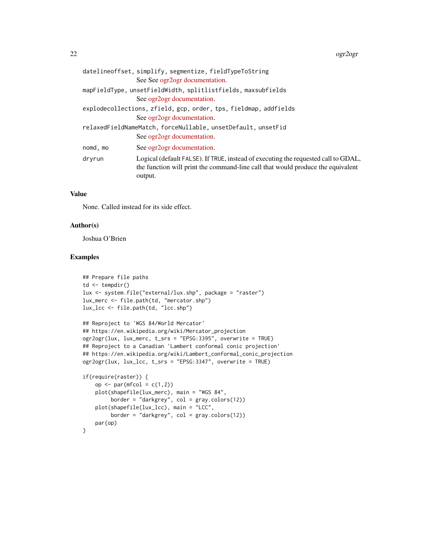22 ogr $2$ ogr $2$ ogr $2$ ogr $2$ ogr $2$ ogr $2$ ogr $2$ ogr $2$ 

|                                                              | datelineoffset, simplify, segmentize, fieldTypeToString                                                                                                                          |  |
|--------------------------------------------------------------|----------------------------------------------------------------------------------------------------------------------------------------------------------------------------------|--|
|                                                              | See See ogr2ogr documentation.                                                                                                                                                   |  |
|                                                              | mapFieldType, unsetFieldWidth, splitlistfields, maxsubfields                                                                                                                     |  |
|                                                              | See ogr2ogr documentation.                                                                                                                                                       |  |
|                                                              | explodecollections, zfield, gcp, order, tps, fieldmap, addfields                                                                                                                 |  |
|                                                              | See ogr2ogr documentation.                                                                                                                                                       |  |
| relaxedFieldNameMatch, forceNullable, unsetDefault, unsetFid |                                                                                                                                                                                  |  |
|                                                              | See ogr2ogr documentation.                                                                                                                                                       |  |
| nomd, mo                                                     | See ogr2ogr documentation.                                                                                                                                                       |  |
| dryrun                                                       | Logical (default FALSE). If TRUE, instead of executing the requested call to GDAL,<br>the function will print the command-line call that would produce the equivalent<br>output. |  |
|                                                              |                                                                                                                                                                                  |  |

# Value

None. Called instead for its side effect.

#### Author(s)

Joshua O'Brien

```
## Prepare file paths
td \leftarrow tempdir()lux <- system.file("external/lux.shp", package = "raster")
lux_merc <- file.path(td, "mercator.shp")
lux_lcc <- file.path(td, "lcc.shp")
## Reproject to 'WGS 84/World Mercator'
## https://en.wikipedia.org/wiki/Mercator_projection
ogr2ogr(lux, lux_merc, t_srs = "EPSG:3395", overwrite = TRUE)
## Reproject to a Canadian 'Lambert conformal conic projection'
## https://en.wikipedia.org/wiki/Lambert_conformal_conic_projection
ogr2ogr(lux, lux_lcc, t_srs = "EPSG:3347", overwrite = TRUE)
if(require(raster)) {
    op \leq par(mfcol = c(1,2))
```

```
plot(shapefile(lux_merc), main = "WGS 84",
        border = "darkgrey", col = gray.colors(12))
   plot(shapefile(lux_lcc), main = "LCC",
        border = "darkgrey", col = gray.colors(12))
   par(op)
}
```